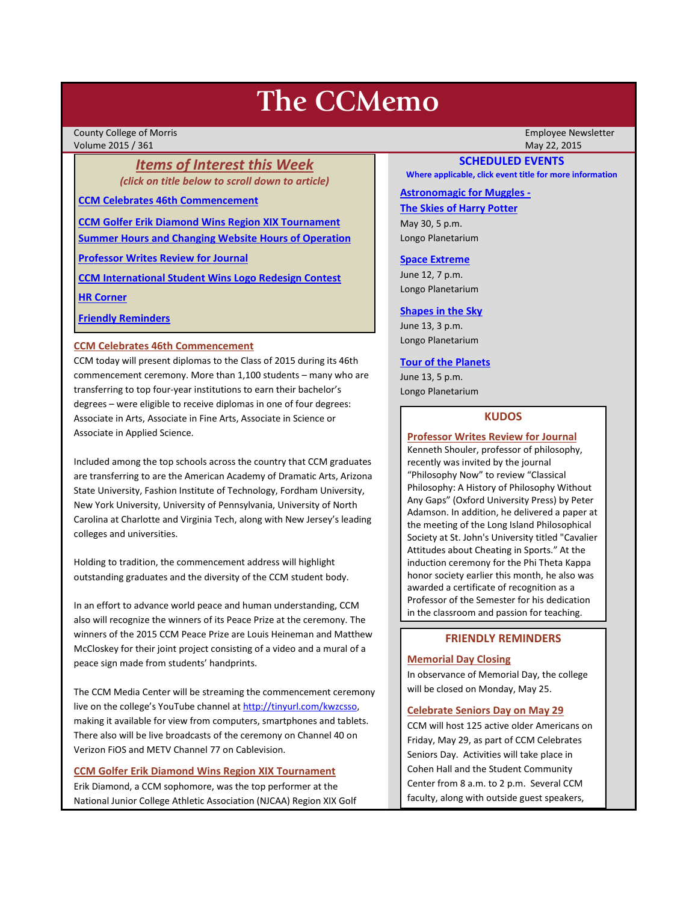# **The CCMemo**

County College of Morris Employee Newsletter Volume 2015 / 361 May 22, 2015

# *Items of Interest this Week (click on title below to scroll down to article)*

**[CCM Celebrates 46th Commencement](#page-0-0)**

**[CCM Golfer Erik Diamond Wins Region XIX Tournament](#page-0-1) [Summer Hours and Changing Website Hours of Operation](#page-1-0)**

**[Professor Writes Review for Journal](#page-0-2)**

**[CCM International Student Wins Logo Redesign Contest](#page-1-1)**

**[HR Corner](#page-2-0)**

**[Friendly Reminders](#page-0-3)**

# <span id="page-0-0"></span>**CCM Celebrates 46th Commencement**

CCM today will present diplomas to the Class of 2015 during its 46th commencement ceremony. More than 1,100 students – many who are transferring to top four-year institutions to earn their bachelor's degrees – were eligible to receive diplomas in one of four degrees: Associate in Arts, Associate in Fine Arts, Associate in Science or Associate in Applied Science.

Included among the top schools across the country that CCM graduates are transferring to are the American Academy of Dramatic Arts, Arizona State University, Fashion Institute of Technology, Fordham University, New York University, University of Pennsylvania, University of North Carolina at Charlotte and Virginia Tech, along with New Jersey's leading colleges and universities.

Holding to tradition, the commencement address will highlight outstanding graduates and the diversity of the CCM student body.

In an effort to advance world peace and human understanding, CCM also will recognize the winners of its Peace Prize at the ceremony. The winners of the 2015 CCM Peace Prize are Louis Heineman and Matthew McCloskey for their joint project consisting of a video and a mural of a peace sign made from students' handprints.

The CCM Media Center will be streaming the commencement ceremony live on the college's YouTube channel a[t http://tinyurl.com/kwzcsso,](http://tinyurl.com/kwzcsso) making it available for view from computers, smartphones and tablets. There also will be live broadcasts of the ceremony on Channel 40 on Verizon FiOS and METV Channel 77 on Cablevision.

# <span id="page-0-1"></span>**CCM Golfer Erik Diamond Wins Region XIX Tournament**

Erik Diamond, a CCM sophomore, was the top performer at the National Junior College Athletic Association (NJCAA) Region XIX Golf

# **SCHEDULED EVENTS**

**Where applicable, click event title for more information**

# **[Astronomagic for Muggles -](http://www.ccm.edu/newsEvents/eventDetails.aspx?Channel=/Channels/Sitewide&WorkflowItemID=ea817282-906a-483e-b8be-410fba055cc4)**

**The Skies of Harry Potter**

May 30, 5 p.m. Longo Planetarium

## **[Space Extreme](http://www.ccm.edu/newsEvents/eventDetails.aspx?Channel=/Channels/Sitewide&WorkflowItemID=1874a4b0-0bcb-4ed1-a29e-7b4f8d25e45d)**

June 12, 7 p.m. Longo Planetarium

## **[Shapes in the Sky](http://www.ccm.edu/newsEvents/eventDetails.aspx?Channel=/Channels/Sitewide&WorkflowItemID=1922c928-86d3-4e75-b6a2-fd618033989c)**

June 13, 3 p.m. Longo Planetarium

# **[Tour of the Planets](http://www.ccm.edu/newsEvents/eventDetails.aspx?Channel=/Channels/Sitewide&WorkflowItemID=5834aa20-68ba-4fa2-a3ac-75b2311ba441)**

June 13, 5 p.m. Longo Planetarium

# **KUDOS**

# <span id="page-0-2"></span>**Professor Writes Review for Journal**

Kenneth Shouler, professor of philosophy, recently was invited by the journal "Philosophy Now" to review "Classical Philosophy: A History of Philosophy Without Any Gaps" (Oxford University Press) by Peter Adamson. In addition, he delivered a paper at the meeting of the Long Island Philosophical Society at St. John's University titled "Cavalier Attitudes about Cheating in Sports." At the induction ceremony for the Phi Theta Kappa honor society earlier this month, he also was awarded a certificate of recognition as a Professor of the Semester for his dedication in the classroom and passion for teaching.

# **FRIENDLY REMINDERS**

# <span id="page-0-3"></span>**Memorial Day Closing**

In observance of Memorial Day, the college will be closed on Monday, May 25.

# **Celebrate Seniors Day on May 29**

CCM will host 125 active older Americans on Friday, May 29, as part of CCM Celebrates Seniors Day. Activities will take place in Cohen Hall and the Student Community Center from 8 a.m. to 2 p.m. Several CCM faculty, along with outside guest speakers,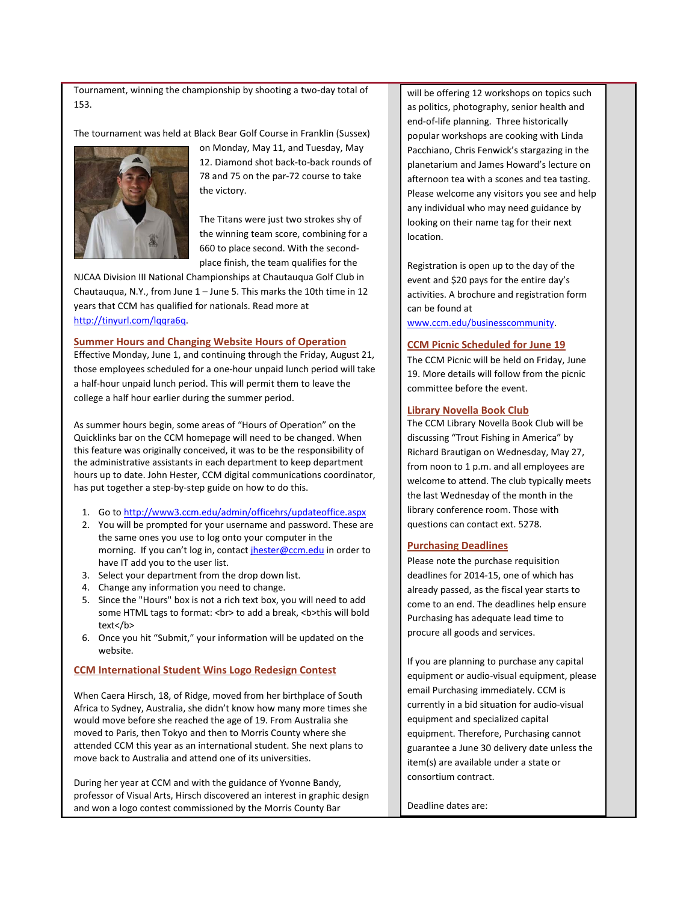Tournament, winning the championship by shooting a two-day total of 153.

The tournament was held at Black Bear Golf Course in Franklin (Sussex)



on Monday, May 11, and Tuesday, May 12. Diamond shot back-to-back rounds of 78 and 75 on the par-72 course to take the victory.

The Titans were just two strokes shy of the winning team score, combining for a 660 to place second. With the secondplace finish, the team qualifies for the

NJCAA Division III National Championships at Chautauqua Golf Club in Chautauqua, N.Y., from June 1 – June 5. This marks the 10th time in 12 years that CCM has qualified for nationals. Read more at [http://tinyurl.com/lqqra6q.](http://tinyurl.com/lqqra6q)

#### <span id="page-1-0"></span>**Summer Hours and Changing Website Hours of Operation**

Effective Monday, June 1, and continuing through the Friday, August 21, those employees scheduled for a one-hour unpaid lunch period will take a half-hour unpaid lunch period. This will permit them to leave the college a half hour earlier during the summer period.

As summer hours begin, some areas of "Hours of Operation" on the Quicklinks bar on the CCM homepage will need to be changed. When this feature was originally conceived, it was to be the responsibility of the administrative assistants in each department to keep department hours up to date. John Hester, CCM digital communications coordinator, has put together a step-by-step guide on how to do this.

- 1. Go t[o http://www3.ccm.edu/admin/officehrs/updateoffice.aspx](http://www3.ccm.edu/admin/officehrs/updateoffice.aspx)
- 2. You will be prompted for your username and password. These are the same ones you use to log onto your computer in the morning. If you can't log in, contact [jhester@ccm.edu](mailto:jhester@ccm.edu) in order to have IT add you to the user list.
- 3. Select your department from the drop down list.
- 4. Change any information you need to change.
- 5. Since the "Hours" box is not a rich text box, you will need to add some HTML tags to format: < br> > to add a break, < b> this will bold text</b>
- 6. Once you hit "Submit," your information will be updated on the website.

### <span id="page-1-1"></span>**CCM International Student Wins Logo Redesign Contest**

When Caera Hirsch, 18, of Ridge, moved from her birthplace of South Africa to Sydney, Australia, she didn't know how many more times she would move before she reached the age of 19. From Australia she moved to Paris, then Tokyo and then to Morris County where she attended CCM this year as an international student. She next plans to move back to Australia and attend one of its universities.

During her year at CCM and with the guidance of Yvonne Bandy, professor of Visual Arts, Hirsch discovered an interest in graphic design and won a logo contest commissioned by the Morris County Bar

will be offering 12 workshops on topics such as politics, photography, senior health and end-of-life planning. Three historically popular workshops are cooking with Linda Pacchiano, Chris Fenwick's stargazing in the planetarium and James Howard's lecture on afternoon tea with a scones and tea tasting. Please welcome any visitors you see and help any individual who may need guidance by looking on their name tag for their next location.

Registration is open up to the day of the event and \$20 pays for the entire day's activities. A brochure and registration form can be found at

[www.ccm.edu/businesscommunity.](http://www.ccm.edu/businesscommunity)

#### **CCM Picnic Scheduled for June 19**

The CCM Picnic will be held on Friday, June 19. More details will follow from the picnic committee before the event.

## **Library Novella Book Club**

The CCM Library Novella Book Club will be discussing "Trout Fishing in America" by Richard Brautigan on Wednesday, May 27, from noon to 1 p.m. and all employees are welcome to attend. The club typically meets the last Wednesday of the month in the library conference room. Those with questions can contact ext. 5278.

#### **Purchasing Deadlines**

Please note the purchase requisition deadlines for 2014-15, one of which has already passed, as the fiscal year starts to come to an end. The deadlines help ensure Purchasing has adequate lead time to procure all goods and services.

If you are planning to purchase any capital equipment or audio-visual equipment, please email Purchasing immediately. CCM is currently in a bid situation for audio-visual equipment and specialized capital equipment. Therefore, Purchasing cannot guarantee a June 30 delivery date unless the item(s) are available under a state or consortium contract.

Deadline dates are: